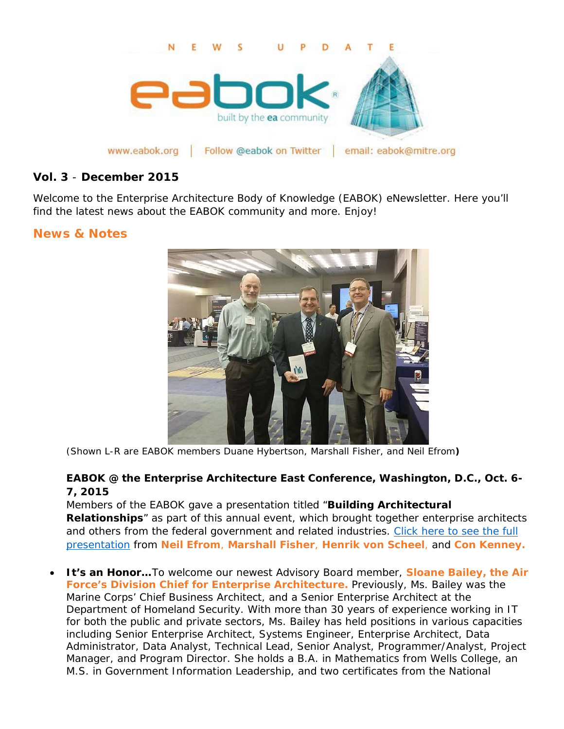

www.eabok.org | Follow @eabok on Twitter | email: eabok@mitre.org

### **Vol. 3** - **December 2015**

Welcome to the Enterprise Architecture Body of Knowledge (EABOK) eNewsletter. Here you'll find the latest news about the EABOK community and more. Enjoy!

## **News & Notes**



(*Shown L-R are EABOK members Duane Hybertson, Marshall Fisher, and Neil Efrom***)**

## **EABOK @ the [Enterprise Architecture East Conference,](http://goveaconference.com/Events/Enterprise-Architecture-East/Information/Home) Washington, D.C., Oct. 6- [7, 2015](http://goveaconference.com/Events/Enterprise-Architecture-East/Information/Home)**

Members of the EABOK gave a presentation titled "**Building Architectural Relationships**" as part of this annual event, which brought together enterprise architects and others from the federal government and related industries. Click here to see the full [presentation](http://eabok.org/pdf/EABOK-panel-presentation-100615.pdf) from **Neil Efrom**, **Marshall Fisher**, **Henrik von Scheel**, and **Con Kenney.**

• **It's an Honor…**To welcome our newest Advisory Board member, **Sloane Bailey, the Air Force's Division Chief for Enterprise Architecture.** Previously, Ms. Bailey was the Marine Corps' Chief Business Architect, and a Senior Enterprise Architect at the Department of Homeland Security. With more than 30 years of experience working in IT for both the public and private sectors, Ms. Bailey has held positions in various capacities including Senior Enterprise Architect, Systems Engineer, Enterprise Architect, Data Administrator, Data Analyst, Technical Lead, Senior Analyst, Programmer/Analyst, Project Manager, and Program Director. She holds a B.A. in Mathematics from Wells College, an M.S. in Government Information Leadership, and two certificates from the National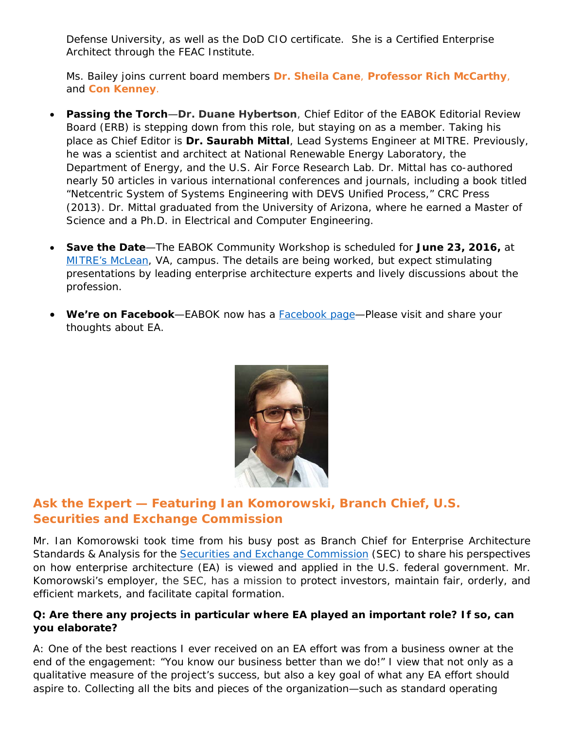Defense University, as well as the DoD CIO certificate. She is a Certified Enterprise Architect through the FEAC Institute.

Ms. Bailey joins current board members **Dr. Sheila Cane**, **Professor Rich McCarthy**, and **Con Kenney**.

- **Passing the Torch**—**Dr. Duane Hybertson**, Chief Editor of the EABOK Editorial Review Board (ERB) is stepping down from this role, but staying on as a member. Taking his place as Chief Editor is **Dr. Saurabh Mittal**, Lead Systems Engineer at MITRE. Previously, he was a scientist and architect at National Renewable Energy Laboratory, the Department of Energy, and the U.S. Air Force Research Lab. Dr. Mittal has co-authored nearly 50 articles in various international conferences and journals, including a book titled "*Netcentric System of Systems Engineering with DEVS Unified Process,*" CRC Press (2013). Dr. Mittal graduated from the University of Arizona, where he earned a Master of Science and a Ph.D. in Electrical and Computer Engineering.
- **Save the Date**—The EABOK Community Workshop is scheduled for **June 23, 2016,** at [MITRE's McLean,](http://www.mitre.org/about/corporate-overview/visiting-mitre) VA, campus. The details are being worked, but expect stimulating presentations by leading enterprise architecture experts and lively discussions about the profession.
- **We're on Facebook**—EABOK now has a [Facebook page—](https://www.facebook.com/theeabok)Please visit and share your thoughts about EA.



# **Ask the Expert — Featuring Ian Komorowski, Branch Chief, U.S. Securities and Exchange Commission**

*Mr. Ian Komorowski took time from his busy post as Branch Chief for Enterprise Architecture Standards & Analysis for the [Securities and Exchange Commission](http://www.sec.gov/) (SEC) to share his perspectives on how enterprise architecture (EA) is viewed and applied in the U.S. federal government. Mr. Komorowski's employer, the SEC, has a mission to protect investors, maintain fair, orderly, and efficient markets, and facilitate capital formation.*

### **Q: Are there any projects in particular where EA played an important role? If so, can you elaborate?**

A: One of the best reactions I ever received on an EA effort was from a business owner at the end of the engagement: "You know our business better than we do!" I view that not only as a qualitative measure of the project's success, but also a key goal of what any EA effort should aspire to. Collecting all the bits and pieces of the organization—such as standard operating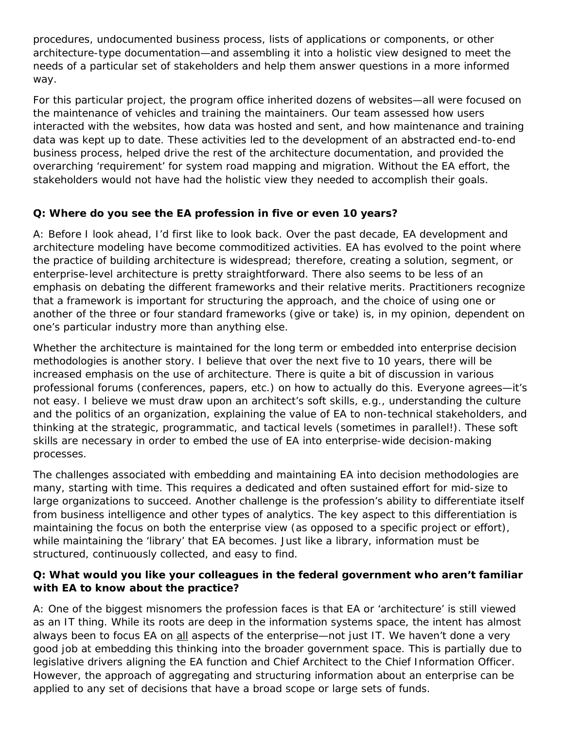procedures, undocumented business process, lists of applications or components, or other architecture-type documentation—and assembling it into a holistic view designed to meet the needs of a particular set of stakeholders and help them answer questions in a more informed way.

For this particular project, the program office inherited dozens of websites—all were focused on the maintenance of vehicles and training the maintainers. Our team assessed how users interacted with the websites, how data was hosted and sent, and how maintenance and training data was kept up to date. These activities led to the development of an abstracted end-to-end business process, helped drive the rest of the architecture documentation, and provided the overarching 'requirement' for system road mapping and migration. Without the EA effort, the stakeholders would not have had the holistic view they needed to accomplish their goals.

### **Q: Where do you see the EA profession in five or even 10 years?**

A: Before I look ahead, I'd first like to look back. Over the past decade, EA development and architecture modeling have become commoditized activities. EA has evolved to the point where the practice of building architecture is widespread; therefore, creating a solution, segment, or enterprise-level architecture is pretty straightforward. There also seems to be less of an emphasis on debating the different frameworks and their relative merits. Practitioners recognize that a framework is important for structuring the approach, and the choice of using one or another of the three or four standard frameworks (give or take) is, in my opinion, dependent on one's particular industry more than anything else.

Whether the architecture is maintained for the long term or embedded into enterprise decision methodologies is another story. I believe that over the next five to 10 years, there will be increased emphasis on the use of architecture. There is quite a bit of discussion in various professional forums (conferences, papers, etc.) on how to actually do this. Everyone agrees—it's not easy. I believe we must draw upon an architect's soft skills, e.g., understanding the culture and the politics of an organization, explaining the value of EA to non-technical stakeholders, and thinking at the strategic, programmatic, and tactical levels (sometimes in parallel!). These soft skills are necessary in order to embed the use of EA into enterprise-wide decision-making processes.

The challenges associated with embedding and maintaining EA into decision methodologies are many, starting with time. This requires a dedicated and often sustained effort for mid-size to large organizations to succeed. Another challenge is the profession's ability to differentiate itself from business intelligence and other types of analytics. The key aspect to this differentiation is maintaining the focus on both the enterprise view (as opposed to a specific project or effort), while maintaining the 'library' that EA becomes. Just like a library, information must be structured, continuously collected, and easy to find.

#### **Q: What would you like your colleagues in the federal government who aren't familiar with EA to know about the practice?**

A: One of the biggest misnomers the profession faces is that EA or 'architecture' is still viewed as an IT thing. While its roots are deep in the information systems space, the intent has almost always been to focus EA on all aspects of the enterprise—not just IT. We haven't done a very good job at embedding this thinking into the broader government space. This is partially due to legislative drivers aligning the EA function and Chief Architect to the Chief Information Officer. However, the approach of aggregating and structuring information about an enterprise can be applied to any set of decisions that have a broad scope or large sets of funds.